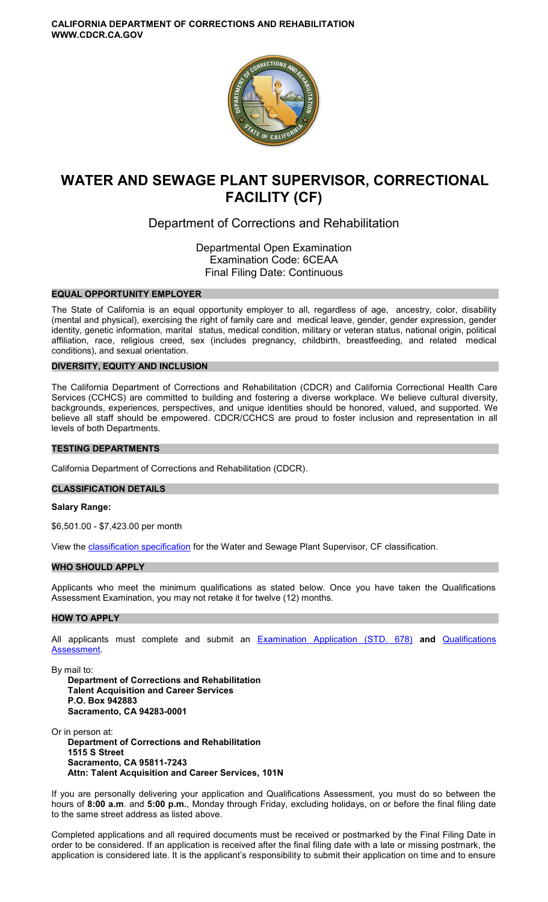

# **WATER AND SEWAGE PLANT SUPERVISOR, CORRECTIONAL FACILITY (CF)**

## Department of Corrections and Rehabilitation

Departmental Open Examination Examination Code: 6CEAA Final Filing Date: Continuous

#### **EQUAL OPPORTUNITY EMPLOYER**

The State of California is an equal opportunity employer to all, regardless of age, ancestry, color, disability (mental and physical), exercising the right of family care and medical leave, gender, gender expression, gender identity, genetic information, marital status, medical condition, military or veteran status, national origin, political affiliation, race, religious creed, sex (includes pregnancy, childbirth, breastfeeding, and related medical conditions), and sexual orientation.

## **DIVERSITY, EQUITY AND INCLUSION**

The California Department of Corrections and Rehabilitation (CDCR) and California Correctional Health Care Services (CCHCS) are committed to building and fostering a diverse workplace. We believe cultural diversity, backgrounds, experiences, perspectives, and unique identities should be honored, valued, and supported. We believe all staff should be empowered. CDCR/CCHCS are proud to foster inclusion and representation in all levels of both Departments.

#### **TESTING DEPARTMENTS**

California Department of Corrections and Rehabilitation (CDCR).

#### **CLASSIFICATION DETAILS**

#### **Salary Range:**

[\\$6,501.00](https://6,501.00) - \$[7,423.00](https://7,423.00) per month

View the **classification specification** for the Water and Sewage Plant Supervisor, CF classification.

## **WHO SHOULD APPLY**

Applicants who meet the minimum qualifications as stated below. Once you have taken the Qualifications Assessment Examination, you may not retake it for twelve (12) months.

## **HOW TO APPLY**

All applicants must complete and submit an [Examination Application \(STD. 678\)](https://jobs.ca.gov/pdf/STD678.pdf) **and** [Qualifications](https://www.cdcr.ca.gov/careers/wp-content/uploads/sites/164/2021/04/WaterSewagePlantSupCFQA-O-C.pdf)  [Assessment.](https://www.cdcr.ca.gov/careers/wp-content/uploads/sites/164/2021/04/WaterSewagePlantSupCFQA-O-C.pdf)

By mail to:

**Department of Corrections and Rehabilitation Talent Acquisition and Career Services P.O. Box 942883 Sacramento, CA 94283-0001** 

Or in person at: **Department of Corrections and Rehabilitation 1515 S Street Sacramento, CA 95811-7243 Attn: Talent Acquisition and Career Services, 101N** 

If you are personally delivering your application and Qualifications Assessment, you must do so between the hours of **8:00 a.m**. and **5:00 p.m.**, Monday through Friday, excluding holidays, on or before the final filing date to the same street address as listed above.

Completed applications and all required documents must be received or postmarked by the Final Filing Date in order to be considered. If an application is received after the final filing date with a late or missing postmark, the application is considered late. It is the applicant's responsibility to submit their application on time and to ensure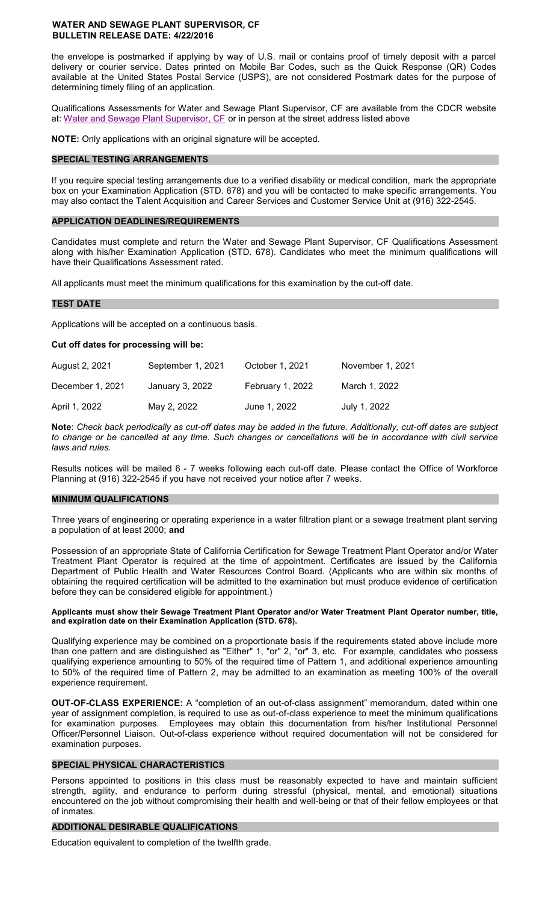the envelope is postmarked if applying by way of U.S. mail or contains proof of timely deposit with a parcel delivery or courier service. Dates printed on Mobile Bar Codes, such as the Quick Response (QR) Codes available at the United States Postal Service (USPS), are not considered Postmark dates for the purpose of determining timely filing of an application.

Qualifications Assessments for Water and Sewage Plant Supervisor, CF are available from the CDCR website at: [Water and Sewage Plant Supervisor, CF o](https://www.cdcr.ca.gov/careers/wp-content/uploads/sites/164/2021/04/WaterSewagePlantSupCFQA-O-C.pdf)r in person at the street address listed above

**NOTE:** Only applications with an original signature will be accepted.

## **SPECIAL TESTING ARRANGEMENTS**

If you require special testing arrangements due to a verified disability or medical condition, mark the appropriate box on your Examination Application (STD. 678) and you will be contacted to make specific arrangements. You may also contact the Talent Acquisition and Career Services and Customer Service Unit at (916) 322-2545.

## **APPLICATION DEADLINES/REQUIREMENTS**

Candidates must complete and return the Water and Sewage Plant Supervisor, CF Qualifications Assessment along with his/her Examination Application (STD. 678). Candidates who meet the minimum qualifications will have their Qualifications Assessment rated.

All applicants must meet the minimum qualifications for this examination by the cut-off date.

## **TEST DATE**

Applications will be accepted on a continuous basis.

#### **Cut off dates for processing will be:**

| August 2, 2021   | September 1, 2021 | October 1, 2021  | November 1, 2021 |
|------------------|-------------------|------------------|------------------|
| December 1, 2021 | January 3, 2022   | February 1, 2022 | March 1, 2022    |
| April 1, 2022    | May 2, 2022       | June 1, 2022     | July 1, 2022     |

**Note**: *Check back periodically as cut-off dates may be added in the future. Additionally, cut-off dates are subject to change or be cancelled at any time. Such changes or cancellations will be in accordance with civil service laws and rules.* 

Results notices will be mailed 6 - 7 weeks following each cut-off date. Please contact the Office of Workforce Planning at (916) 322-2545 if you have not received your notice after 7 weeks.

#### **MINIMUM QUALIFICATIONS**

Three years of engineering or operating experience in a water filtration plant or a sewage treatment plant serving a population of at least 2000; **and** 

Possession of an appropriate State of California Certification for Sewage Treatment Plant Operator and/or Water Treatment Plant Operator is required at the time of appointment. Certificates are issued by the California Department of Public Health and Water Resources Control Board. (Applicants who are within six months of obtaining the required certification will be admitted to the examination but must produce evidence of certification before they can be considered eligible for appointment.)

#### **Applicants must show their Sewage Treatment Plant Operator and/or Water Treatment Plant Operator number, title, and expiration date on their Examination Application (STD. 678).**

Qualifying experience may be combined on a proportionate basis if the requirements stated above include more than one pattern and are distinguished as "Either" 1, "or" 2, "or" 3, etc. For example, candidates who possess qualifying experience amounting to 50% of the required time of Pattern 1, and additional experience amounting to 50% of the required time of Pattern 2, may be admitted to an examination as meeting 100% of the overall experience requirement.

**OUT-OF-CLASS EXPERIENCE:** A "completion of an out-of-class assignment" memorandum, dated within one year of assignment completion, is required to use as out-of-class experience to meet the minimum qualifications for examination purposes. Employees may obtain this documentation from his/her Institutional Personnel Officer/Personnel Liaison. Out-of-class experience without required documentation will not be considered for examination purposes.

## **SPECIAL PHYSICAL CHARACTERISTICS**

Persons appointed to positions in this class must be reasonably expected to have and maintain sufficient strength, agility, and endurance to perform during stressful (physical, mental, and emotional) situations encountered on the job without compromising their health and well-being or that of their fellow employees or that of inmates.

#### **ADDITIONAL DESIRABLE QUALIFICATIONS**

Education equivalent to completion of the twelfth grade.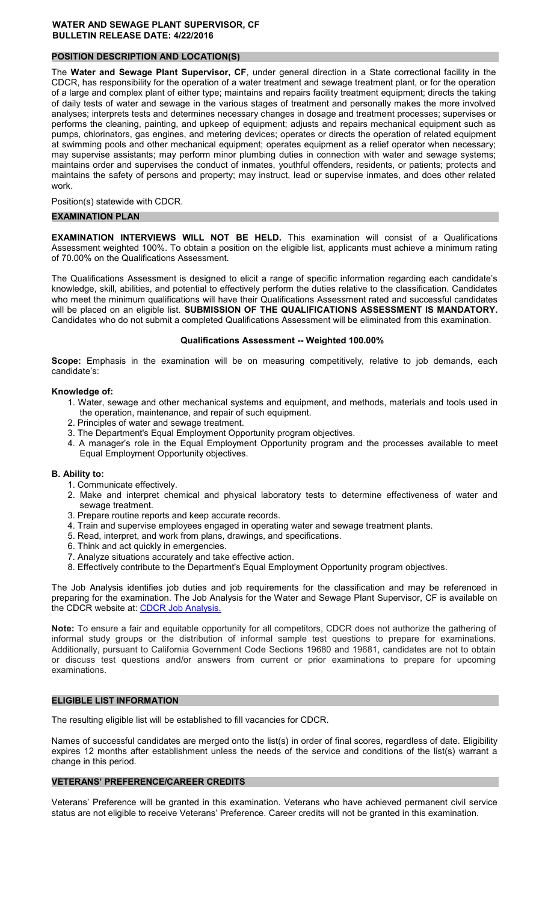## **POSITION DESCRIPTION AND LOCATION(S)**

The **Water and Sewage Plant Supervisor, CF**, under general direction in a State correctional facility in the CDCR, has responsibility for the operation of a water treatment and sewage treatment plant, or for the operation of a large and complex plant of either type; maintains and repairs facility treatment equipment; directs the taking of daily tests of water and sewage in the various stages of treatment and personally makes the more involved analyses; interprets tests and determines necessary changes in dosage and treatment processes; supervises or performs the cleaning, painting, and upkeep of equipment; adjusts and repairs mechanical equipment such as pumps, chlorinators, gas engines, and metering devices; operates or directs the operation of related equipment at swimming pools and other mechanical equipment; operates equipment as a relief operator when necessary; may supervise assistants; may perform minor plumbing duties in connection with water and sewage systems; maintains order and supervises the conduct of inmates, youthful offenders, residents, or patients; protects and maintains the safety of persons and property; may instruct, lead or supervise inmates, and does other related work.

Position(s) statewide with CDCR.

#### **EXAMINATION PLAN**

**EXAMINATION INTERVIEWS WILL NOT BE HELD.** This examination will consist of a Qualifications Assessment weighted 100%. To obtain a position on the eligible list, applicants must achieve a minimum rating of 70.00% on the Qualifications Assessment.

The Qualifications Assessment is designed to elicit a range of specific information regarding each candidate's knowledge, skill, abilities, and potential to effectively perform the duties relative to the classification. Candidates who meet the minimum qualifications will have their Qualifications Assessment rated and successful candidates will be placed on an eligible list. **SUBMISSION OF THE QUALIFICATIONS ASSESSMENT IS MANDATORY.**  Candidates who do not submit a completed Qualifications Assessment will be eliminated from this examination.

#### **Qualifications Assessment -- Weighted 100.00%**

**Scope:** Emphasis in the examination will be on measuring competitively, relative to job demands, each candidate's:

#### **Knowledge of:**

- 1. Water, sewage and other mechanical systems and equipment, and methods, materials and tools used in the operation, maintenance, and repair of such equipment.
- 2. Principles of water and sewage treatment.
- 3. The Department's Equal Employment Opportunity program objectives.
- 4. A manager's role in the Equal Employment Opportunity program and the processes available to meet Equal Employment Opportunity objectives.

#### **B. Ability to:**

- 1. Communicate effectively.
- 2. Make and interpret chemical and physical laboratory tests to determine effectiveness of water and sewage treatment.
- 3. Prepare routine reports and keep accurate records.
- 4. Train and supervise employees engaged in operating water and sewage treatment plants.
- 5. Read, interpret, and work from plans, drawings, and specifications.
- 6. Think and act quickly in emergencies.
- 7. Analyze situations accurately and take effective action.
- 8. Effectively contribute to the Department's Equal Employment Opportunity program objectives.

The Job Analysis identifies job duties and job requirements for the classification and may be referenced in preparing for the examination. The Job Analysis for the Water and Sewage Plant Supervisor, CF is available on the CDCR website at: CDCR Job Analysis.

**Note:** To ensure a fair and equitable opportunity for all competitors, CDCR does not authorize the gathering of informal study groups or the distribution of informal sample test questions to prepare for examinations. Additionally, pursuant to California Government Code Sections 19680 and 19681, candidates are not to obtain or discuss test questions and/or answers from current or prior examinations to prepare for upcoming examinations.

#### **ELIGIBLE LIST INFORMATION**

The resulting eligible list will be established to fill vacancies for CDCR.

Names of successful candidates are merged onto the list(s) in order of final scores, regardless of date. Eligibility expires 12 months after establishment unless the needs of the service and conditions of the list(s) warrant a change in this period.

#### **VETERANS' PREFERENCE/CAREER CREDITS**

Veterans' Preference will be granted in this examination. Veterans who have achieved permanent civil service status are not eligible to receive Veterans' Preference. Career credits will not be granted in this examination.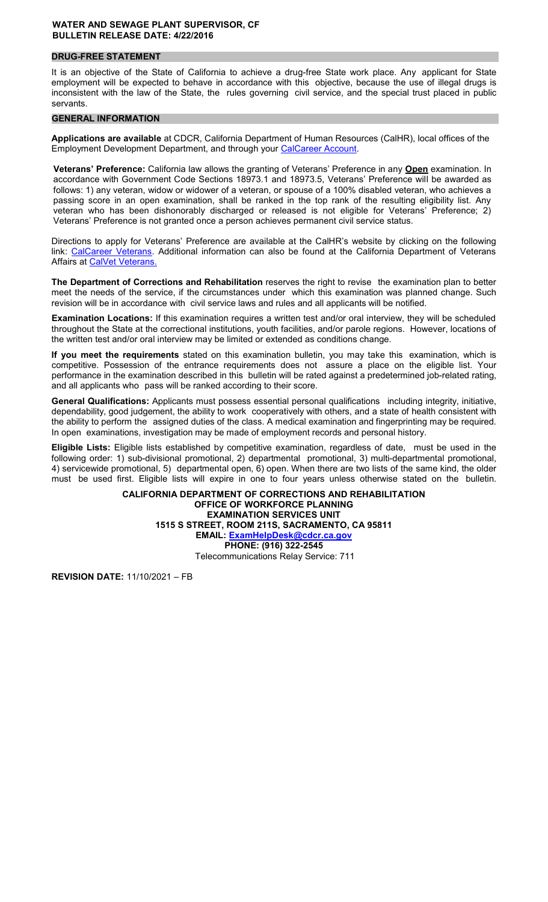## **DRUG-FREE STATEMENT**

It is an objective of the State of California to achieve a drug-free State work place. Any applicant for State employment will be expected to behave in accordance with this objective, because the use of illegal drugs is inconsistent with the law of the State, the rules governing civil service, and the special trust placed in public servants.

#### **GENERAL INFORMATION**

**Applications are available** at CDCR, California Department of Human Resources (CalHR), local offices of the Employment Development Department, and through your [CalCareer Account.](https://www.jobs.ca.gov/)

**Veterans' Preference:** California law allows the granting of Veterans' Preference in any **Open** examination. In accordance with Government Code Sections 18973.1 and 18973.5, Veterans' Preference will be awarded as follows: 1) any veteran, widow or widower of a veteran, or spouse of a 100% disabled veteran, who achieves a passing score in an open examination, shall be ranked in the top rank of the resulting eligibility list. Any veteran who has been dishonorably discharged or released is not eligible for Veterans' Preference; 2) Veterans' Preference is not granted once a person achieves permanent civil service status.

Directions to apply for Veterans' Preference are available at the CalHR's website by clicking on the following link: [CalCareer Veterans.](https://jobs.ca.gov/CalHRPublic/Landing/Veterans.aspx) Additional information can also be found at the California Department of Veterans Affairs at [CalVet Veterans.](http://www.calvet.ca.gov/veteran-services-benefits/employment) 

**The Department of Corrections and Rehabilitation** reserves the right to revise the examination plan to better meet the needs of the service, if the circumstances under which this examination was planned change. Such revision will be in accordance with civil service laws and rules and all applicants will be notified.

**Examination Locations:** If this examination requires a written test and/or oral interview, they will be scheduled throughout the State at the correctional institutions, youth facilities, and/or parole regions. However, locations of the written test and/or oral interview may be limited or extended as conditions change.

**If you meet the requirements** stated on this examination bulletin, you may take this examination, which is competitive. Possession of the entrance requirements does not assure a place on the eligible list. Your performance in the examination described in this bulletin will be rated against a predetermined job-related rating, and all applicants who pass will be ranked according to their score.

**General Qualifications:** Applicants must possess essential personal qualifications including integrity, initiative, dependability, good judgement, the ability to work cooperatively with others, and a state of health consistent with the ability to perform the assigned duties of the class. A medical examination and fingerprinting may be required. In open examinations, investigation may be made of employment records and personal history.

**Eligible Lists:** Eligible lists established by competitive examination, regardless of date, must be used in the following order: 1) sub-divisional promotional, 2) departmental promotional, 3) multi-departmental promotional, 4) servicewide promotional, 5) departmental open, 6) open. When there are two lists of the same kind, the older must be used first. Eligible lists will expire in one to four years unless otherwise stated on the bulletin.

> **CALIFORNIA DEPARTMENT OF CORRECTIONS AND REHABILITATION OFFICE OF WORKFORCE PLANNING EXAMINATION SERVICES UNIT 1515 S STREET, ROOM 211S, SACRAMENTO, CA 95811 EMAIL: [ExamHelpDesk@cdcr.ca.gov](mailto:ExamHelpDesk@cdcr.ca.gov)  PHONE: (916) 322-2545**  Telecommunications Relay Service: 711

**REVISION DATE:** 11/10/2021 – FB